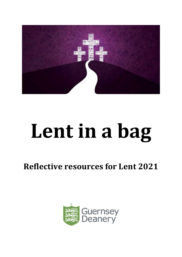

# **Lent in a bag**

### **Reflective resources for Lent 2021**

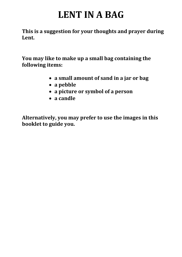### **LENT IN A BAG**

**This is a suggestion for your thoughts and prayer during Lent.**

**You may like to make up a small bag containing the following items:** 

- **a small amount of sand in a jar or bag**
- **a pebble**
- **a picture or symbol of a person**
- **a candle**

**Alternatively, you may prefer to use the images in this booklet to guide you.**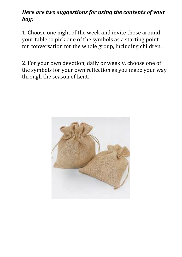#### *Here are two suggestions for using the contents of your bag:*

1. Choose one night of the week and invite those around your table to pick one of the symbols as a starting point for conversation for the whole group, including children.

2. For your own devotion, daily or weekly, choose one of the symbols for your own reflection as you make your way through the season of Lent.

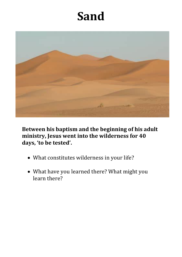## **Sand**



**Between his baptism and the beginning of his adult ministry, Jesus went into the wilderness for 40 days, 'to be tested'.** 

- What constitutes wilderness in your life?
- What have you learned there? What might you learn there?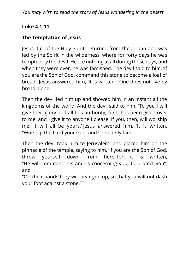*You may wish to read the story of Jesus wandering in the desert.* 

#### **Luke 4.1-11**

#### **The Temptation of Jesus**

Jesus, full of the Holy Spirit, returned from the Jordan and was led by the Spirit in the wilderness, where for forty days he was tempted by the devil. He ate nothing at all during those days, and when they were over, he was famished. The devil said to him, 'If you are the Son of God, command this stone to become a loaf of bread.' Jesus answered him, 'It is written, "One does not live by bread alone." '

Then the devil led him up and showed him in an instant all the kingdoms of the world. And the devil said to him, 'To you I will give their glory and all this authority; for it has been given over to me, and I give it to anyone I please. If you, then, will worship me, it will all be yours.' Jesus answered him, 'It is written, "Worship the Lord your God, and serve only him." '

Then the devil took him to Jerusalem, and placed him on the pinnacle of the temple, saying to him, 'If you are the Son of God, throw yourself down from here, for it is written, "He will command his angels concerning you, to protect you", and

"On their hands they will bear you up, so that you will not dash your foot against a stone." '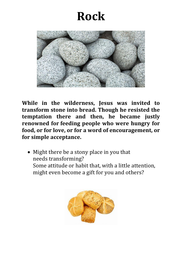# **Rock**



**While in the wilderness, Jesus was invited to transform stone into bread. Though he resisted the temptation there and then, he became justly renowned for feeding people who were hungry for food, or for love, or for a word of encouragement, or for simple acceptance.** 

• Might there be a stony place in you that needs transforming? Some attitude or habit that, with a little attention, might even become a gift for you and others?

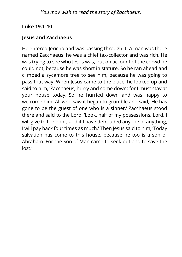*You may wish to read the story of Zacchaeus.* 

#### **Luke 19.1-10**

#### **Jesus and Zacchaeus**

He entered Jericho and was passing through it. A man was there named Zacchaeus; he was a chief tax-collector and was rich. He was trying to see who Jesus was, but on account of the crowd he could not, because he was short in stature. So he ran ahead and climbed a sycamore tree to see him, because he was going to pass that way. When Jesus came to the place, he looked up and said to him, 'Zacchaeus, hurry and come down; for I must stay at your house today.' So he hurried down and was happy to welcome him. All who saw it began to grumble and said, 'He has gone to be the guest of one who is a sinner.' Zacchaeus stood there and said to the Lord, 'Look, half of my possessions, Lord, I will give to the poor; and if I have defrauded anyone of anything, I will pay back four times as much.' Then Jesus said to him, 'Today salvation has come to this house, because he too is a son of Abraham. For the Son of Man came to seek out and to save the lost.'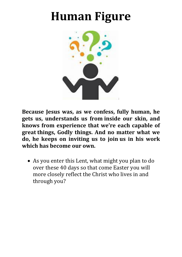# **Human Figure**



**Because Jesus was, as we confess, fully human, he gets us, understands us from inside our skin, and knows from experience that we're each capable of great things, Godly things. And no matter what we do, he keeps on inviting us to join us in his work which has become our own.** 

• As you enter this Lent, what might you plan to do over these 40 days so that come Easter you will more closely reflect the Christ who lives in and through you?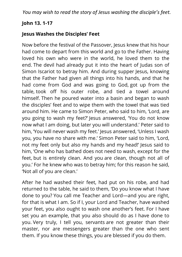*You may wish to read the story of Jesus washing the disciple's feet.* 

#### **John 13. 1-17**

#### **Jesus Washes the Disciples' Feet**

Now before the festival of the Passover, Jesus knew that his hour had come to depart from this world and go to the Father. Having loved his own who were in the world, he loved them to the end. The devil had already put it into the heart of Judas son of Simon Iscariot to betray him. And during supper Jesus, knowing that the Father had given all things into his hands, and that he had come from God and was going to God, got up from the table, took off his outer robe, and tied a towel around himself. Then he poured water into a basin and began to wash the disciples' feet and to wipe them with the towel that was tied around him. He came to Simon Peter, who said to him, 'Lord, are you going to wash my feet?' Jesus answered, 'You do not know now what I am doing, but later you will understand.' Peter said to him, 'You will never wash my feet.' Jesus answered, 'Unless I wash you, you have no share with me.' Simon Peter said to him, 'Lord, not my feet only but also my hands and my head!' Jesus said to him, 'One who has bathed does not need to wash, except for the feet, but is entirely clean. And you are clean, though not all of you.' For he knew who was to betray him; for this reason he said, 'Not all of you are clean.'

After he had washed their feet, had put on his robe, and had returned to the table, he said to them, 'Do you know what I have done to you? You call me Teacher and Lord—and you are right, for that is what I am. So if I, your Lord and Teacher, have washed your feet, you also ought to wash one another's feet. For I have set you an example, that you also should do as I have done to you. Very truly, I tell you, servants are not greater than their master, nor are messengers greater than the one who sent them. If you know these things, you are blessed if you do them.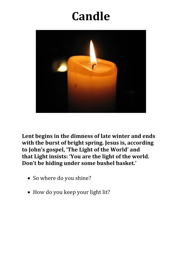## **Candle**



**Lent begins in the dimness of late winter and ends with the burst of bright spring. Jesus is, according to John's gospel, 'The Light of the World' and that Light insists: 'You are the light of the world. Don't be hiding under some bushel basket.'** 

- So where do you shine?
- How do you keep your light lit?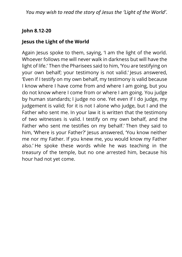#### **John 8.12-20**

#### **Jesus the Light of the World**

Again Jesus spoke to them, saying, 'I am the light of the world. Whoever follows me will never walk in darkness but will have the light of life.' Then the Pharisees said to him, 'You are testifying on your own behalf; your testimony is not valid.' Jesus answered, 'Even if I testify on my own behalf, my testimony is valid because I know where I have come from and where I am going, but you do not know where I come from or where I am going. You judge by human standards; I judge no one. Yet even if I do judge, my judgement is valid; for it is not I alone who judge, but I and the Father who sent me. In your law it is written that the testimony of two witnesses is valid. I testify on my own behalf, and the Father who sent me testifies on my behalf.' Then they said to him, 'Where is your Father?' Jesus answered, 'You know neither me nor my Father. If you knew me, you would know my Father also.' He spoke these words while he was teaching in the treasury of the temple, but no one arrested him, because his hour had not yet come.